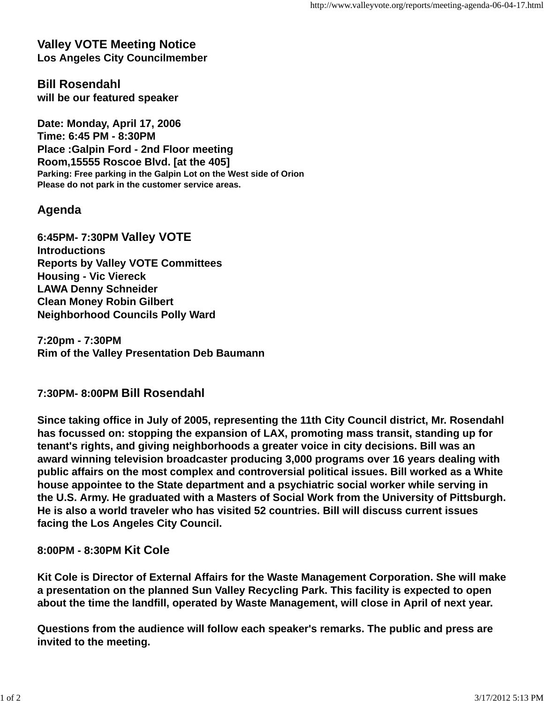**Valley VOTE Meeting Notice Los Angeles City Councilmember**

**Bill Rosendahl will be our featured speaker**

**Date: Monday, April 17, 2006 Time: 6:45 PM - 8:30PM Place :Galpin Ford - 2nd Floor meeting Room,15555 Roscoe Blvd. [at the 405] Parking: Free parking in the Galpin Lot on the West side of Orion Please do not park in the customer service areas.**

## **Agenda**

**6:45PM- 7:30PM Valley VOTE Introductions Reports by Valley VOTE Committees Housing - Vic Viereck LAWA Denny Schneider Clean Money Robin Gilbert Neighborhood Councils Polly Ward**

**7:20pm - 7:30PM Rim of the Valley Presentation Deb Baumann**

## **7:30PM- 8:00PM Bill Rosendahl**

**Since taking office in July of 2005, representing the 11th City Council district, Mr. Rosendahl has focussed on: stopping the expansion of LAX, promoting mass transit, standing up for tenant's rights, and giving neighborhoods a greater voice in city decisions. Bill was an award winning television broadcaster producing 3,000 programs over 16 years dealing with public affairs on the most complex and controversial political issues. Bill worked as a White house appointee to the State department and a psychiatric social worker while serving in the U.S. Army. He graduated with a Masters of Social Work from the University of Pittsburgh. He is also a world traveler who has visited 52 countries. Bill will discuss current issues facing the Los Angeles City Council.**

## **8:00PM - 8:30PM Kit Cole**

**Kit Cole is Director of External Affairs for the Waste Management Corporation. She will make a presentation on the planned Sun Valley Recycling Park. This facility is expected to open about the time the landfill, operated by Waste Management, will close in April of next year.**

**Questions from the audience will follow each speaker's remarks. The public and press are invited to the meeting.**